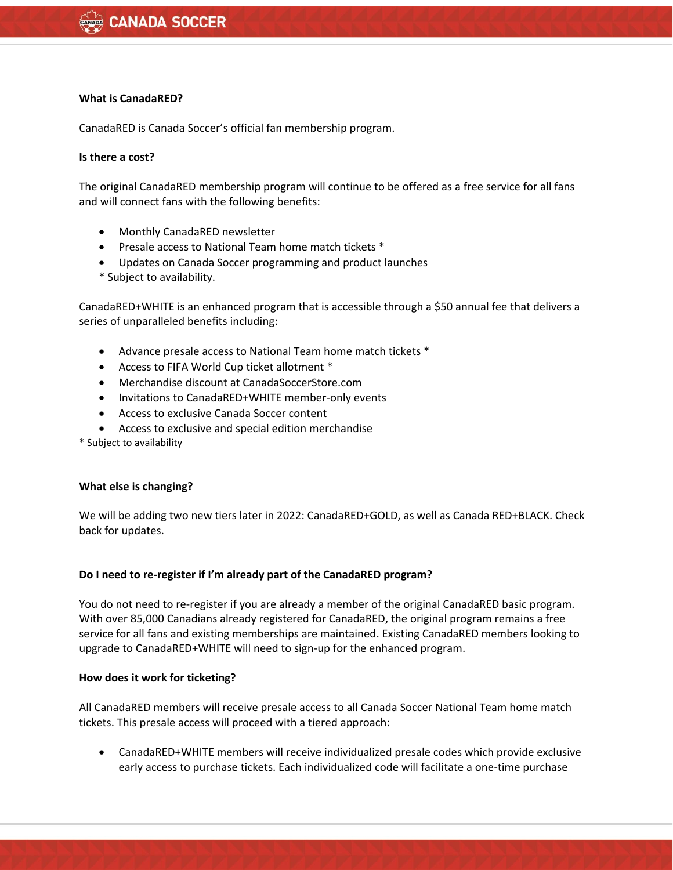#### **What is CanadaRED?**

CanadaRED is Canada Soccer's official fan membership program.

### **Is there a cost?**

The original CanadaRED membership program will continue to be offered as a free service for all fans and will connect fans with the following benefits:

- Monthly CanadaRED newsletter
- Presale access to National Team home match tickets \*
- Updates on Canada Soccer programming and product launches
- \* Subject to availability.

CanadaRED+WHITE is an enhanced program that is accessible through a \$50 annual fee that delivers a series of unparalleled benefits including:

- Advance presale access to National Team home match tickets \*
- Access to FIFA World Cup ticket allotment \*
- Merchandise discount at CanadaSoccerStore.com
- Invitations to CanadaRED+WHITE member-only events
- Access to exclusive Canada Soccer content
- Access to exclusive and special edition merchandise

\* Subject to availability

#### **What else is changing?**

We will be adding two new tiers later in 2022: CanadaRED+GOLD, as well as Canada RED+BLACK. Check back for updates.

#### **Do I need to re-register if I'm already part of the CanadaRED program?**

You do not need to re-register if you are already a member of the original CanadaRED basic program. With over 85,000 Canadians already registered for CanadaRED, the original program remains a free service for all fans and existing memberships are maintained. Existing CanadaRED members looking to upgrade to CanadaRED+WHITE will need to sign-up for the enhanced program.

#### **How does it work for ticketing?**

All CanadaRED members will receive presale access to all Canada Soccer National Team home match tickets. This presale access will proceed with a tiered approach:

• CanadaRED+WHITE members will receive individualized presale codes which provide exclusive early access to purchase tickets. Each individualized code will facilitate a one-time purchase